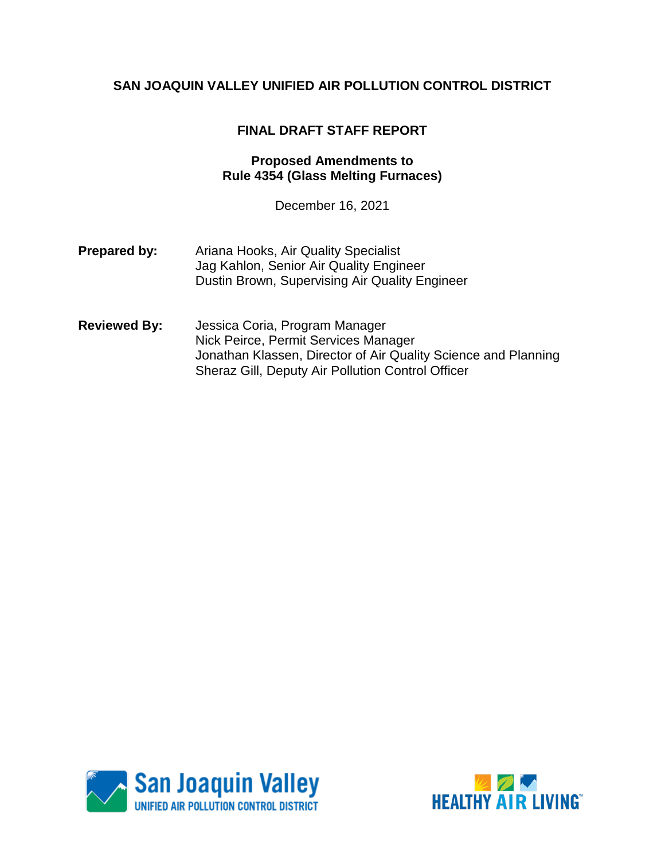## **FINAL DRAFT STAFF REPORT**

### **Proposed Amendments to Rule 4354 (Glass Melting Furnaces)**

December 16, 2021

- **Prepared by:** Ariana Hooks, Air Quality Specialist Jag Kahlon, Senior Air Quality Engineer Dustin Brown, Supervising Air Quality Engineer
- **Reviewed By:** Jessica Coria, Program Manager Nick Peirce, Permit Services Manager Jonathan Klassen, Director of Air Quality Science and Planning Sheraz Gill, Deputy Air Pollution Control Officer



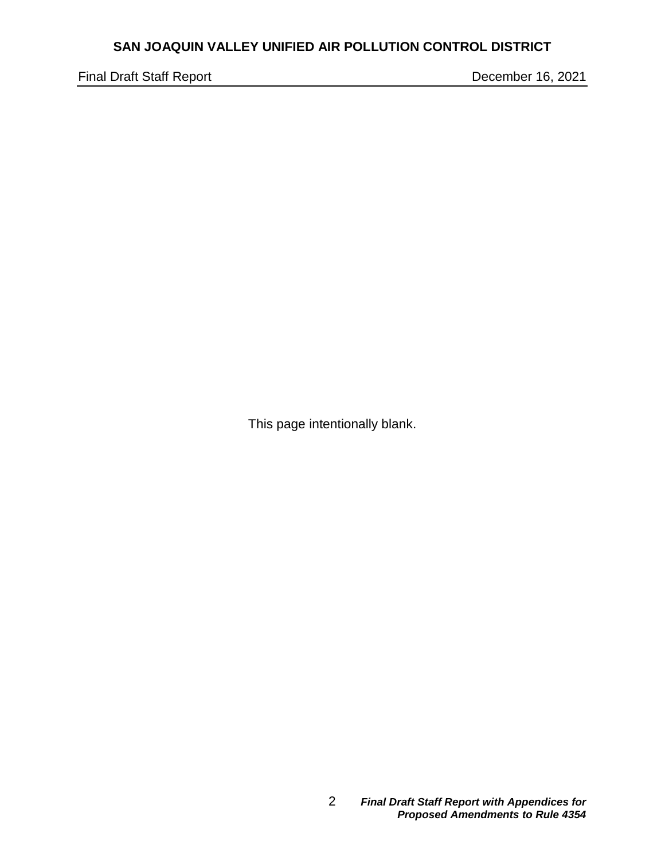Final Draft Staff Report **December 16, 2021** 

This page intentionally blank.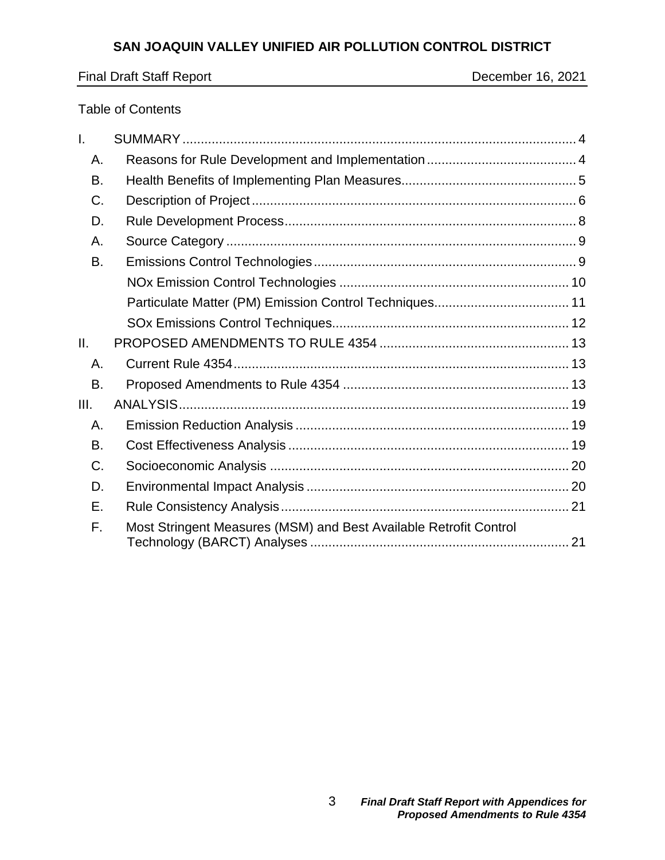Final Draft Staff Report **December 16, 2021** 

Table of Contents

| I.   |                                                                   |  |
|------|-------------------------------------------------------------------|--|
| Α.   |                                                                   |  |
| В.   |                                                                   |  |
| C.   |                                                                   |  |
| D.   |                                                                   |  |
| Α.   |                                                                   |  |
| В.   |                                                                   |  |
|      |                                                                   |  |
|      |                                                                   |  |
|      |                                                                   |  |
| ΙΙ.  |                                                                   |  |
| A.   |                                                                   |  |
| B.   |                                                                   |  |
| III. |                                                                   |  |
| Α.   |                                                                   |  |
| В.   |                                                                   |  |
| C.   |                                                                   |  |
| D.   |                                                                   |  |
| Ε.   |                                                                   |  |
| F.   | Most Stringent Measures (MSM) and Best Available Retrofit Control |  |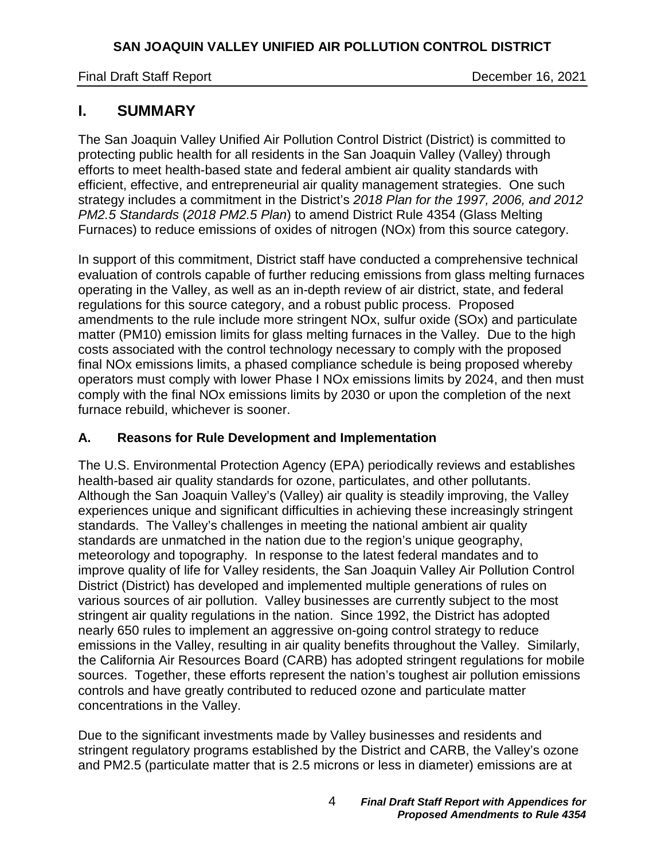# Final Draft Staff Report **December 16, 2021**

# <span id="page-3-0"></span>**I. SUMMARY**

The San Joaquin Valley Unified Air Pollution Control District (District) is committed to protecting public health for all residents in the San Joaquin Valley (Valley) through efforts to meet health-based state and federal ambient air quality standards with efficient, effective, and entrepreneurial air quality management strategies. One such strategy includes a commitment in the District's *2018 Plan for the 1997, 2006, and 2012 PM2.5 Standards* (*2018 PM2.5 Plan*) to amend District Rule 4354 (Glass Melting Furnaces) to reduce emissions of oxides of nitrogen (NOx) from this source category.

In support of this commitment, District staff have conducted a comprehensive technical evaluation of controls capable of further reducing emissions from glass melting furnaces operating in the Valley, as well as an in-depth review of air district, state, and federal regulations for this source category, and a robust public process. Proposed amendments to the rule include more stringent NOx, sulfur oxide (SOx) and particulate matter (PM10) emission limits for glass melting furnaces in the Valley. Due to the high costs associated with the control technology necessary to comply with the proposed final NOx emissions limits, a phased compliance schedule is being proposed whereby operators must comply with lower Phase I NOx emissions limits by 2024, and then must comply with the final NOx emissions limits by 2030 or upon the completion of the next furnace rebuild, whichever is sooner.

# <span id="page-3-1"></span>**A. Reasons for Rule Development and Implementation**

The U.S. Environmental Protection Agency (EPA) periodically reviews and establishes health-based air quality standards for ozone, particulates, and other pollutants. Although the San Joaquin Valley's (Valley) air quality is steadily improving, the Valley experiences unique and significant difficulties in achieving these increasingly stringent standards. The Valley's challenges in meeting the national ambient air quality standards are unmatched in the nation due to the region's unique geography, meteorology and topography. In response to the latest federal mandates and to improve quality of life for Valley residents, the San Joaquin Valley Air Pollution Control District (District) has developed and implemented multiple generations of rules on various sources of air pollution. Valley businesses are currently subject to the most stringent air quality regulations in the nation. Since 1992, the District has adopted nearly 650 rules to implement an aggressive on-going control strategy to reduce emissions in the Valley, resulting in air quality benefits throughout the Valley. Similarly, the California Air Resources Board (CARB) has adopted stringent regulations for mobile sources. Together, these efforts represent the nation's toughest air pollution emissions controls and have greatly contributed to reduced ozone and particulate matter concentrations in the Valley.

Due to the significant investments made by Valley businesses and residents and stringent regulatory programs established by the District and CARB, the Valley's ozone and PM2.5 (particulate matter that is 2.5 microns or less in diameter) emissions are at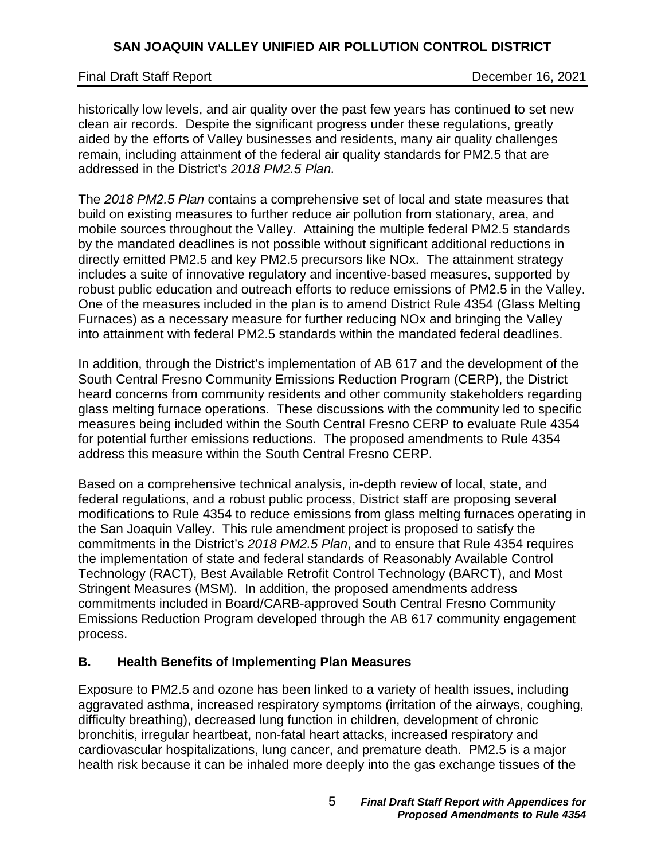## Final Draft Staff Report **December 16, 2021**

historically low levels, and air quality over the past few years has continued to set new clean air records. Despite the significant progress under these regulations, greatly aided by the efforts of Valley businesses and residents, many air quality challenges remain, including attainment of the federal air quality standards for PM2.5 that are addressed in the District's *2018 PM2.5 Plan.*

The *2018 PM2.5 Plan* contains a comprehensive set of local and state measures that build on existing measures to further reduce air pollution from stationary, area, and mobile sources throughout the Valley. Attaining the multiple federal PM2.5 standards by the mandated deadlines is not possible without significant additional reductions in directly emitted PM2.5 and key PM2.5 precursors like NOx. The attainment strategy includes a suite of innovative regulatory and incentive-based measures, supported by robust public education and outreach efforts to reduce emissions of PM2.5 in the Valley. One of the measures included in the plan is to amend District Rule 4354 (Glass Melting Furnaces) as a necessary measure for further reducing NOx and bringing the Valley into attainment with federal PM2.5 standards within the mandated federal deadlines.

In addition, through the District's implementation of AB 617 and the development of the South Central Fresno Community Emissions Reduction Program (CERP), the District heard concerns from community residents and other community stakeholders regarding glass melting furnace operations. These discussions with the community led to specific measures being included within the South Central Fresno CERP to evaluate Rule 4354 for potential further emissions reductions. The proposed amendments to Rule 4354 address this measure within the South Central Fresno CERP.

Based on a comprehensive technical analysis, in-depth review of local, state, and federal regulations, and a robust public process, District staff are proposing several modifications to Rule 4354 to reduce emissions from glass melting furnaces operating in the San Joaquin Valley. This rule amendment project is proposed to satisfy the commitments in the District's *2018 PM2.5 Plan*, and to ensure that Rule 4354 requires the implementation of state and federal standards of Reasonably Available Control Technology (RACT), Best Available Retrofit Control Technology (BARCT), and Most Stringent Measures (MSM). In addition, the proposed amendments address commitments included in Board/CARB-approved South Central Fresno Community Emissions Reduction Program developed through the AB 617 community engagement process.

## <span id="page-4-0"></span>**B. Health Benefits of Implementing Plan Measures**

Exposure to PM2.5 and ozone has been linked to a variety of health issues, including aggravated asthma, increased respiratory symptoms (irritation of the airways, coughing, difficulty breathing), decreased lung function in children, development of chronic bronchitis, irregular heartbeat, non-fatal heart attacks, increased respiratory and cardiovascular hospitalizations, lung cancer, and premature death. PM2.5 is a major health risk because it can be inhaled more deeply into the gas exchange tissues of the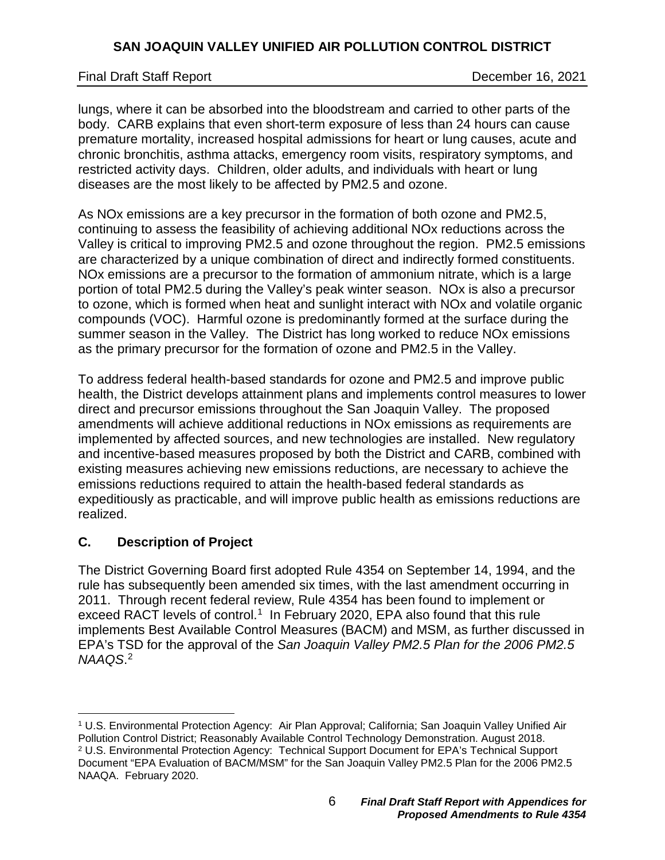## Final Draft Staff Report **December 16, 2021**

lungs, where it can be absorbed into the bloodstream and carried to other parts of the body. CARB explains that even short-term exposure of less than 24 hours can cause premature mortality, increased hospital admissions for heart or lung causes, acute and chronic bronchitis, asthma attacks, emergency room visits, respiratory symptoms, and restricted activity days. Children, older adults, and individuals with heart or lung diseases are the most likely to be affected by PM2.5 and ozone.

As NOx emissions are a key precursor in the formation of both ozone and PM2.5, continuing to assess the feasibility of achieving additional NOx reductions across the Valley is critical to improving PM2.5 and ozone throughout the region. PM2.5 emissions are characterized by a unique combination of direct and indirectly formed constituents. NOx emissions are a precursor to the formation of ammonium nitrate, which is a large portion of total PM2.5 during the Valley's peak winter season. NOx is also a precursor to ozone, which is formed when heat and sunlight interact with NOx and volatile organic compounds (VOC). Harmful ozone is predominantly formed at the surface during the summer season in the Valley. The District has long worked to reduce NOx emissions as the primary precursor for the formation of ozone and PM2.5 in the Valley.

To address federal health-based standards for ozone and PM2.5 and improve public health, the District develops attainment plans and implements control measures to lower direct and precursor emissions throughout the San Joaquin Valley. The proposed amendments will achieve additional reductions in NOx emissions as requirements are implemented by affected sources, and new technologies are installed. New regulatory and incentive-based measures proposed by both the District and CARB, combined with existing measures achieving new emissions reductions, are necessary to achieve the emissions reductions required to attain the health-based federal standards as expeditiously as practicable, and will improve public health as emissions reductions are realized.

## <span id="page-5-0"></span>**C. Description of Project**

The District Governing Board first adopted Rule 4354 on September 14, 1994, and the rule has subsequently been amended six times, with the last amendment occurring in 2011. Through recent federal review, Rule 4354 has been found to implement or exceed RACT levels of control.<sup>[1](#page-5-1)</sup> In February 2020, EPA also found that this rule implements Best Available Control Measures (BACM) and MSM, as further discussed in EPA's TSD for the approval of the *San Joaquin Valley PM2.5 Plan for the 2006 PM2.5 NAAQS*. [2](#page-5-2)

<span id="page-5-2"></span><span id="page-5-1"></span> <sup>1</sup> U.S. Environmental Protection Agency: Air Plan Approval; California; San Joaquin Valley Unified Air Pollution Control District; Reasonably Available Control Technology Demonstration. August 2018. <sup>2</sup> U.S. Environmental Protection Agency: Technical Support Document for EPA's Technical Support Document "EPA Evaluation of BACM/MSM" for the San Joaquin Valley PM2.5 Plan for the 2006 PM2.5 NAAQA. February 2020.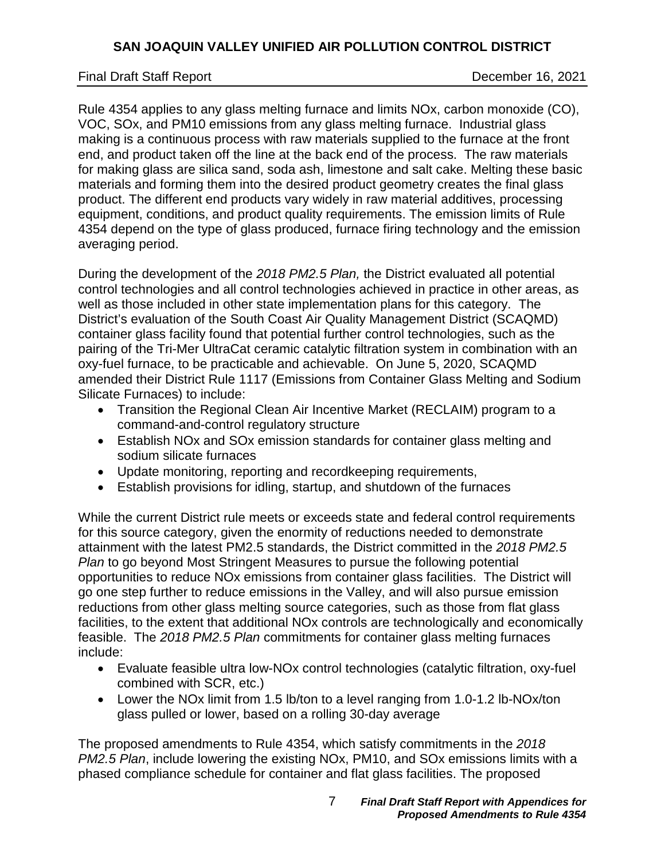## Final Draft Staff Report **December 16, 2021**

Rule 4354 applies to any glass melting furnace and limits NOx, carbon monoxide (CO), VOC, SOx, and PM10 emissions from any glass melting furnace. Industrial glass making is a continuous process with raw materials supplied to the furnace at the front end, and product taken off the line at the back end of the process. The raw materials for making glass are silica sand, soda ash, limestone and salt cake. Melting these basic materials and forming them into the desired product geometry creates the final glass product. The different end products vary widely in raw material additives, processing equipment, conditions, and product quality requirements. The emission limits of Rule 4354 depend on the type of glass produced, furnace firing technology and the emission averaging period.

During the development of the *2018 PM2.5 Plan,* the District evaluated all potential control technologies and all control technologies achieved in practice in other areas, as well as those included in other state implementation plans for this category. The District's evaluation of the South Coast Air Quality Management District (SCAQMD) container glass facility found that potential further control technologies, such as the pairing of the Tri-Mer UltraCat ceramic catalytic filtration system in combination with an oxy-fuel furnace, to be practicable and achievable. On June 5, 2020, SCAQMD amended their District Rule 1117 (Emissions from Container Glass Melting and Sodium Silicate Furnaces) to include:

- Transition the Regional Clean Air Incentive Market (RECLAIM) program to a command-and-control regulatory structure
- Establish NOx and SOx emission standards for container glass melting and sodium silicate furnaces
- Update monitoring, reporting and recordkeeping requirements,
- Establish provisions for idling, startup, and shutdown of the furnaces

While the current District rule meets or exceeds state and federal control requirements for this source category, given the enormity of reductions needed to demonstrate attainment with the latest PM2.5 standards, the District committed in the *2018 PM2.5 Plan* to go beyond Most Stringent Measures to pursue the following potential opportunities to reduce NOx emissions from container glass facilities. The District will go one step further to reduce emissions in the Valley, and will also pursue emission reductions from other glass melting source categories, such as those from flat glass facilities, to the extent that additional NOx controls are technologically and economically feasible. The *2018 PM2.5 Plan* commitments for container glass melting furnaces include:

- Evaluate feasible ultra low-NOx control technologies (catalytic filtration, oxy-fuel combined with SCR, etc.)
- Lower the NOx limit from 1.5 lb/ton to a level ranging from 1.0-1.2 lb-NOx/ton glass pulled or lower, based on a rolling 30-day average

The proposed amendments to Rule 4354, which satisfy commitments in the *2018 PM2.5 Plan*, include lowering the existing NOx, PM10, and SOx emissions limits with a phased compliance schedule for container and flat glass facilities. The proposed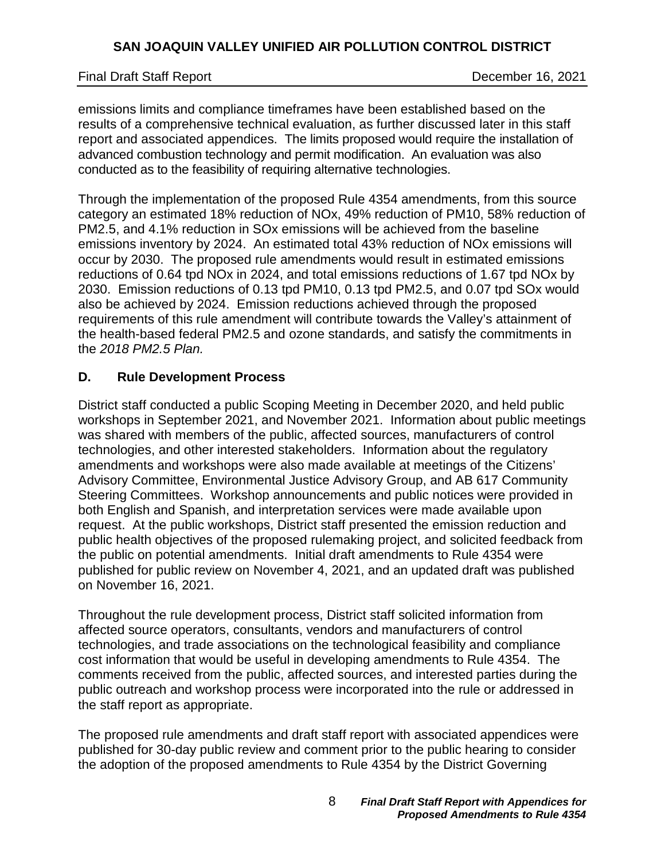Final Draft Staff Report **December 16, 2021** 

emissions limits and compliance timeframes have been established based on the results of a comprehensive technical evaluation, as further discussed later in this staff report and associated appendices. The limits proposed would require the installation of advanced combustion technology and permit modification. An evaluation was also conducted as to the feasibility of requiring alternative technologies.

Through the implementation of the proposed Rule 4354 amendments, from this source category an estimated 18% reduction of NOx, 49% reduction of PM10, 58% reduction of PM2.5, and 4.1% reduction in SOx emissions will be achieved from the baseline emissions inventory by 2024. An estimated total 43% reduction of NOx emissions will occur by 2030. The proposed rule amendments would result in estimated emissions reductions of 0.64 tpd NOx in 2024, and total emissions reductions of 1.67 tpd NOx by 2030. Emission reductions of 0.13 tpd PM10, 0.13 tpd PM2.5, and 0.07 tpd SOx would also be achieved by 2024. Emission reductions achieved through the proposed requirements of this rule amendment will contribute towards the Valley's attainment of the health-based federal PM2.5 and ozone standards, and satisfy the commitments in the *2018 PM2.5 Plan.* 

## <span id="page-7-0"></span>**D. Rule Development Process**

District staff conducted a public Scoping Meeting in December 2020, and held public workshops in September 2021, and November 2021. Information about public meetings was shared with members of the public, affected sources, manufacturers of control technologies, and other interested stakeholders. Information about the regulatory amendments and workshops were also made available at meetings of the Citizens' Advisory Committee, Environmental Justice Advisory Group, and AB 617 Community Steering Committees. Workshop announcements and public notices were provided in both English and Spanish, and interpretation services were made available upon request. At the public workshops, District staff presented the emission reduction and public health objectives of the proposed rulemaking project, and solicited feedback from the public on potential amendments. Initial draft amendments to Rule 4354 were published for public review on November 4, 2021, and an updated draft was published on November 16, 2021.

Throughout the rule development process, District staff solicited information from affected source operators, consultants, vendors and manufacturers of control technologies, and trade associations on the technological feasibility and compliance cost information that would be useful in developing amendments to Rule 4354. The comments received from the public, affected sources, and interested parties during the public outreach and workshop process were incorporated into the rule or addressed in the staff report as appropriate.

The proposed rule amendments and draft staff report with associated appendices were published for 30-day public review and comment prior to the public hearing to consider the adoption of the proposed amendments to Rule 4354 by the District Governing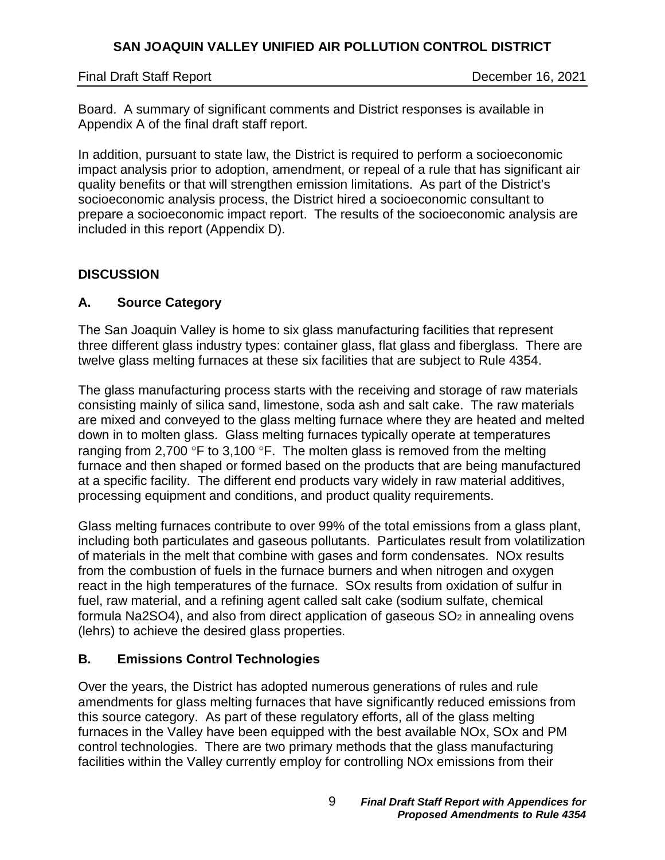Final Draft Staff Report **December 16, 2021** 

Board. A summary of significant comments and District responses is available in Appendix A of the final draft staff report.

In addition, pursuant to state law, the District is required to perform a socioeconomic impact analysis prior to adoption, amendment, or repeal of a rule that has significant air quality benefits or that will strengthen emission limitations. As part of the District's socioeconomic analysis process, the District hired a socioeconomic consultant to prepare a socioeconomic impact report. The results of the socioeconomic analysis are included in this report (Appendix D).

# **DISCUSSION**

# <span id="page-8-0"></span>**A. Source Category**

The San Joaquin Valley is home to six glass manufacturing facilities that represent three different glass industry types: container glass, flat glass and fiberglass. There are twelve glass melting furnaces at these six facilities that are subject to Rule 4354.

The glass manufacturing process starts with the receiving and storage of raw materials consisting mainly of silica sand, limestone, soda ash and salt cake. The raw materials are mixed and conveyed to the glass melting furnace where they are heated and melted down in to molten glass. Glass melting furnaces typically operate at temperatures ranging from 2,700 °F to 3,100 °F. The molten glass is removed from the melting furnace and then shaped or formed based on the products that are being manufactured at a specific facility. The different end products vary widely in raw material additives, processing equipment and conditions, and product quality requirements.

Glass melting furnaces contribute to over 99% of the total emissions from a glass plant, including both particulates and gaseous pollutants. Particulates result from volatilization of materials in the melt that combine with gases and form condensates. NOx results from the combustion of fuels in the furnace burners and when nitrogen and oxygen react in the high temperatures of the furnace. SOx results from oxidation of sulfur in fuel, raw material, and a refining agent called salt cake (sodium sulfate, chemical formula Na2SO4), and also from direct application of gaseous  $SO<sub>2</sub>$  in annealing ovens (lehrs) to achieve the desired glass properties.

# <span id="page-8-1"></span>**B. Emissions Control Technologies**

Over the years, the District has adopted numerous generations of rules and rule amendments for glass melting furnaces that have significantly reduced emissions from this source category. As part of these regulatory efforts, all of the glass melting furnaces in the Valley have been equipped with the best available NOx, SOx and PM control technologies. There are two primary methods that the glass manufacturing facilities within the Valley currently employ for controlling NOx emissions from their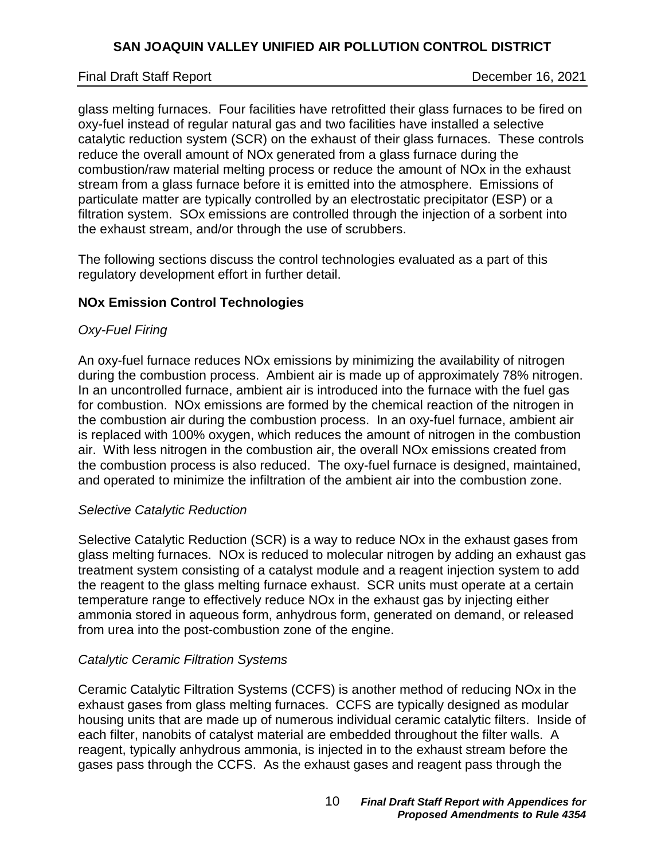## Final Draft Staff Report **December 16, 2021**

glass melting furnaces. Four facilities have retrofitted their glass furnaces to be fired on oxy-fuel instead of regular natural gas and two facilities have installed a selective catalytic reduction system (SCR) on the exhaust of their glass furnaces. These controls reduce the overall amount of NOx generated from a glass furnace during the combustion/raw material melting process or reduce the amount of NOx in the exhaust stream from a glass furnace before it is emitted into the atmosphere. Emissions of particulate matter are typically controlled by an electrostatic precipitator (ESP) or a filtration system. SOx emissions are controlled through the injection of a sorbent into the exhaust stream, and/or through the use of scrubbers.

The following sections discuss the control technologies evaluated as a part of this regulatory development effort in further detail.

## <span id="page-9-0"></span>**NOx Emission Control Technologies**

## *Oxy-Fuel Firing*

An oxy-fuel furnace reduces NOx emissions by minimizing the availability of nitrogen during the combustion process. Ambient air is made up of approximately 78% nitrogen. In an uncontrolled furnace, ambient air is introduced into the furnace with the fuel gas for combustion. NOx emissions are formed by the chemical reaction of the nitrogen in the combustion air during the combustion process. In an oxy-fuel furnace, ambient air is replaced with 100% oxygen, which reduces the amount of nitrogen in the combustion air. With less nitrogen in the combustion air, the overall NOx emissions created from the combustion process is also reduced. The oxy-fuel furnace is designed, maintained, and operated to minimize the infiltration of the ambient air into the combustion zone.

#### *Selective Catalytic Reduction*

Selective Catalytic Reduction (SCR) is a way to reduce NOx in the exhaust gases from glass melting furnaces. NOx is reduced to molecular nitrogen by adding an exhaust gas treatment system consisting of a catalyst module and a reagent injection system to add the reagent to the glass melting furnace exhaust. SCR units must operate at a certain temperature range to effectively reduce NOx in the exhaust gas by injecting either ammonia stored in aqueous form, anhydrous form, generated on demand, or released from urea into the post-combustion zone of the engine.

#### *Catalytic Ceramic Filtration Systems*

Ceramic Catalytic Filtration Systems (CCFS) is another method of reducing NOx in the exhaust gases from glass melting furnaces. CCFS are typically designed as modular housing units that are made up of numerous individual ceramic catalytic filters. Inside of each filter, nanobits of catalyst material are embedded throughout the filter walls. A reagent, typically anhydrous ammonia, is injected in to the exhaust stream before the gases pass through the CCFS. As the exhaust gases and reagent pass through the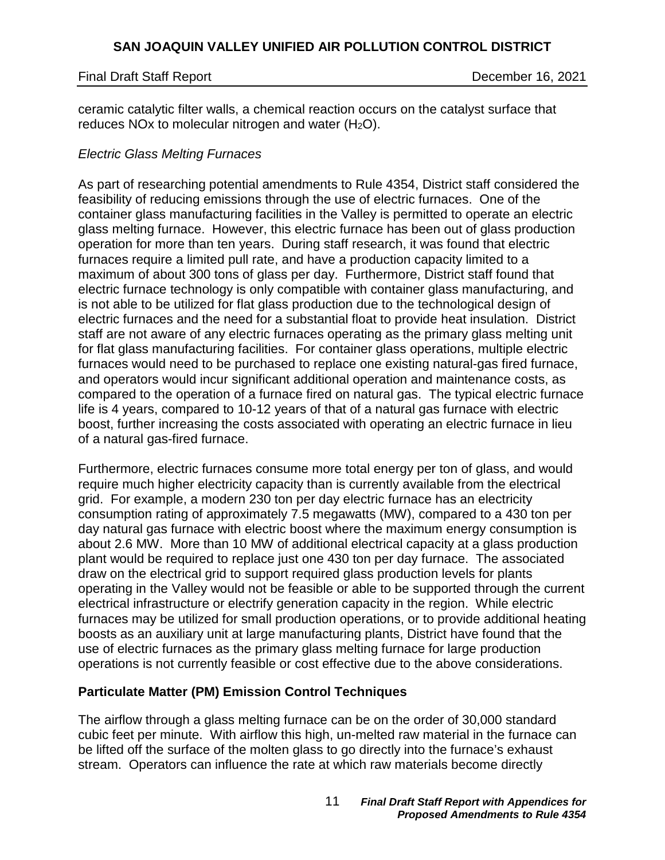#### Final Draft Staff Report **December 16, 2021**

ceramic catalytic filter walls, a chemical reaction occurs on the catalyst surface that reduces NOx to molecular nitrogen and water  $(H_2O)$ .

## *Electric Glass Melting Furnaces*

As part of researching potential amendments to Rule 4354, District staff considered the feasibility of reducing emissions through the use of electric furnaces. One of the container glass manufacturing facilities in the Valley is permitted to operate an electric glass melting furnace. However, this electric furnace has been out of glass production operation for more than ten years. During staff research, it was found that electric furnaces require a limited pull rate, and have a production capacity limited to a maximum of about 300 tons of glass per day. Furthermore, District staff found that electric furnace technology is only compatible with container glass manufacturing, and is not able to be utilized for flat glass production due to the technological design of electric furnaces and the need for a substantial float to provide heat insulation. District staff are not aware of any electric furnaces operating as the primary glass melting unit for flat glass manufacturing facilities. For container glass operations, multiple electric furnaces would need to be purchased to replace one existing natural-gas fired furnace, and operators would incur significant additional operation and maintenance costs, as compared to the operation of a furnace fired on natural gas. The typical electric furnace life is 4 years, compared to 10-12 years of that of a natural gas furnace with electric boost, further increasing the costs associated with operating an electric furnace in lieu of a natural gas-fired furnace.

Furthermore, electric furnaces consume more total energy per ton of glass, and would require much higher electricity capacity than is currently available from the electrical grid. For example, a modern 230 ton per day electric furnace has an electricity consumption rating of approximately 7.5 megawatts (MW), compared to a 430 ton per day natural gas furnace with electric boost where the maximum energy consumption is about 2.6 MW. More than 10 MW of additional electrical capacity at a glass production plant would be required to replace just one 430 ton per day furnace. The associated draw on the electrical grid to support required glass production levels for plants operating in the Valley would not be feasible or able to be supported through the current electrical infrastructure or electrify generation capacity in the region. While electric furnaces may be utilized for small production operations, or to provide additional heating boosts as an auxiliary unit at large manufacturing plants, District have found that the use of electric furnaces as the primary glass melting furnace for large production operations is not currently feasible or cost effective due to the above considerations.

## <span id="page-10-0"></span>**Particulate Matter (PM) Emission Control Techniques**

The airflow through a glass melting furnace can be on the order of 30,000 standard cubic feet per minute. With airflow this high, un-melted raw material in the furnace can be lifted off the surface of the molten glass to go directly into the furnace's exhaust stream. Operators can influence the rate at which raw materials become directly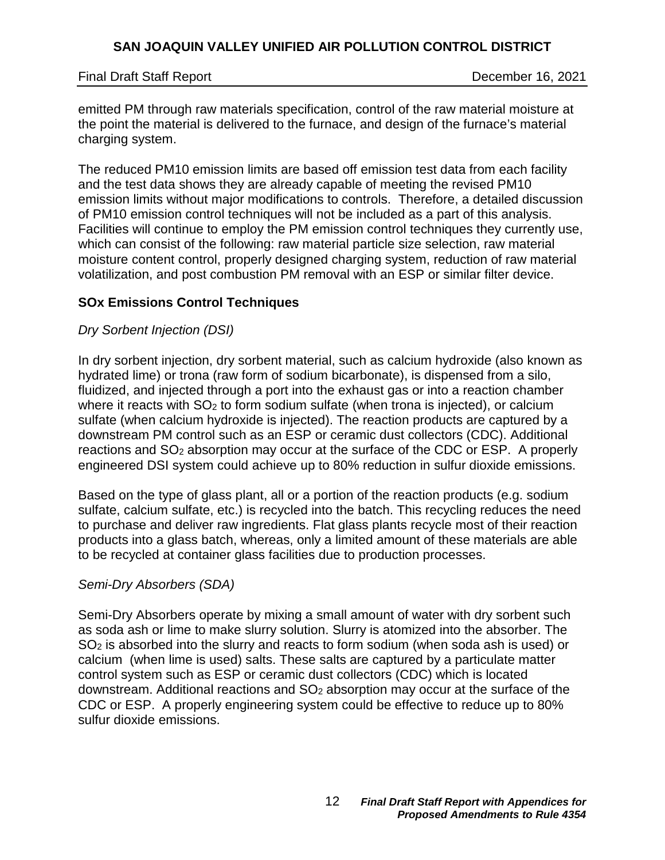## Final Draft Staff Report **December 16, 2021**

emitted PM through raw materials specification, control of the raw material moisture at the point the material is delivered to the furnace, and design of the furnace's material charging system.

The reduced PM10 emission limits are based off emission test data from each facility and the test data shows they are already capable of meeting the revised PM10 emission limits without major modifications to controls. Therefore, a detailed discussion of PM10 emission control techniques will not be included as a part of this analysis. Facilities will continue to employ the PM emission control techniques they currently use, which can consist of the following: raw material particle size selection, raw material moisture content control, properly designed charging system, reduction of raw material volatilization, and post combustion PM removal with an ESP or similar filter device.

## <span id="page-11-0"></span>**SOx Emissions Control Techniques**

## *Dry Sorbent Injection (DSI)*

In dry sorbent injection, dry sorbent material, such as calcium hydroxide (also known as hydrated lime) or trona (raw form of sodium bicarbonate), is dispensed from a silo, fluidized, and injected through a port into the exhaust gas or into a reaction chamber where it reacts with  $SO<sub>2</sub>$  to form sodium sulfate (when trona is injected), or calcium sulfate (when calcium hydroxide is injected). The reaction products are captured by a downstream PM control such as an ESP or ceramic dust collectors (CDC). Additional reactions and  $SO<sub>2</sub>$  absorption may occur at the surface of the CDC or ESP. A properly engineered DSI system could achieve up to 80% reduction in sulfur dioxide emissions.

Based on the type of glass plant, all or a portion of the reaction products (e.g. sodium sulfate, calcium sulfate, etc.) is recycled into the batch. This recycling reduces the need to purchase and deliver raw ingredients. Flat glass plants recycle most of their reaction products into a glass batch, whereas, only a limited amount of these materials are able to be recycled at container glass facilities due to production processes.

## *Semi-Dry Absorbers (SDA)*

Semi-Dry Absorbers operate by mixing a small amount of water with dry sorbent such as soda ash or lime to make slurry solution. Slurry is atomized into the absorber. The SO2 is absorbed into the slurry and reacts to form sodium (when soda ash is used) or calcium (when lime is used) salts. These salts are captured by a particulate matter control system such as ESP or ceramic dust collectors (CDC) which is located downstream. Additional reactions and SO2 absorption may occur at the surface of the CDC or ESP. A properly engineering system could be effective to reduce up to 80% sulfur dioxide emissions.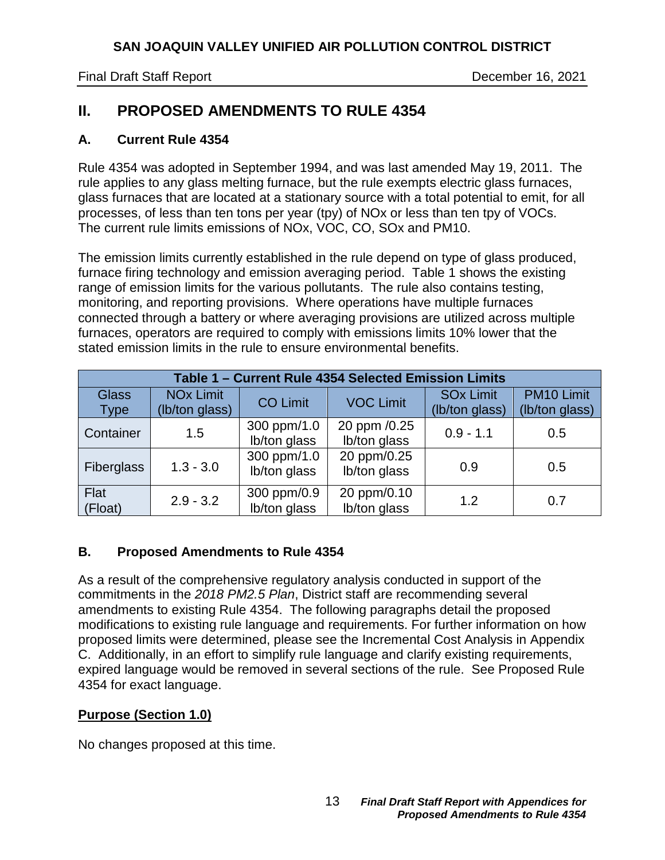Final Draft Staff Report **December 16, 2021** 

# <span id="page-12-0"></span>**II. PROPOSED AMENDMENTS TO RULE 4354**

## <span id="page-12-1"></span>**A. Current Rule 4354**

Rule 4354 was adopted in September 1994, and was last amended May 19, 2011. The rule applies to any glass melting furnace, but the rule exempts electric glass furnaces, glass furnaces that are located at a stationary source with a total potential to emit, for all processes, of less than ten tons per year (tpy) of NOx or less than ten tpy of VOCs. The current rule limits emissions of NOx, VOC, CO, SOx and PM10.

The emission limits currently established in the rule depend on type of glass produced, furnace firing technology and emission averaging period. Table 1 shows the existing range of emission limits for the various pollutants. The rule also contains testing, monitoring, and reporting provisions. Where operations have multiple furnaces connected through a battery or where averaging provisions are utilized across multiple furnaces, operators are required to comply with emissions limits 10% lower that the stated emission limits in the rule to ensure environmental benefits.

| Table 1 - Current Rule 4354 Selected Emission Limits                         |             |                             |                              |                                    |                              |  |  |
|------------------------------------------------------------------------------|-------------|-----------------------------|------------------------------|------------------------------------|------------------------------|--|--|
| <b>NO<sub>x</sub></b> Limit<br><b>Glass</b><br>(Ib/ton glass)<br><b>Type</b> |             | <b>CO Limit</b>             | <b>VOC Limit</b>             | <b>SOx Limit</b><br>(lb/ton glass) | PM10 Limit<br>(lb/ton glass) |  |  |
| Container<br>1.5                                                             |             | 300 ppm/1.0<br>lb/ton glass | 20 ppm /0.25<br>lb/ton glass | $0.9 - 1.1$                        | 0.5                          |  |  |
| Fiberglass                                                                   | $1.3 - 3.0$ | 300 ppm/1.0<br>Ib/ton glass | 20 ppm/0.25<br>lb/ton glass  | 0.9                                | 0.5                          |  |  |
| Flat<br>(Float)                                                              | $2.9 - 3.2$ | 300 ppm/0.9<br>lb/ton glass | 20 ppm/0.10<br>lb/ton glass  | 1.2                                | 0.7                          |  |  |

## <span id="page-12-2"></span>**B. Proposed Amendments to Rule 4354**

As a result of the comprehensive regulatory analysis conducted in support of the commitments in the *2018 PM2.5 Plan*, District staff are recommending several amendments to existing Rule 4354. The following paragraphs detail the proposed modifications to existing rule language and requirements. For further information on how proposed limits were determined, please see the Incremental Cost Analysis in Appendix C. Additionally, in an effort to simplify rule language and clarify existing requirements, expired language would be removed in several sections of the rule. See Proposed Rule 4354 for exact language.

## **Purpose (Section 1.0)**

No changes proposed at this time.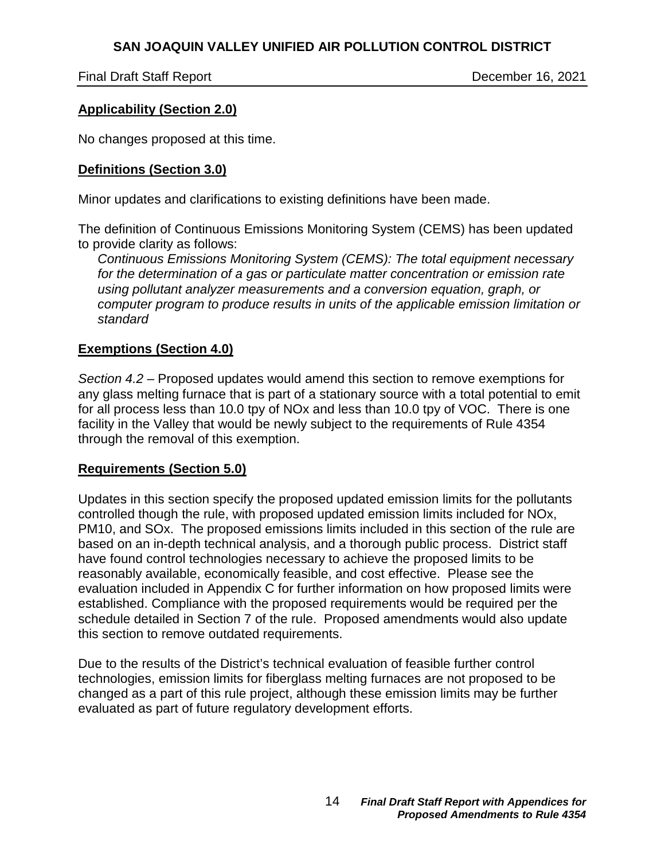#### Final Draft Staff Report **December 16, 2021**

#### **Applicability (Section 2.0)**

No changes proposed at this time.

#### **Definitions (Section 3.0)**

Minor updates and clarifications to existing definitions have been made.

The definition of Continuous Emissions Monitoring System (CEMS) has been updated to provide clarity as follows:

*Continuous Emissions Monitoring System (CEMS): The total equipment necessary for the determination of a gas or particulate matter concentration or emission rate using pollutant analyzer measurements and a conversion equation, graph, or computer program to produce results in units of the applicable emission limitation or standard*

## **Exemptions (Section 4.0)**

*Section 4.2 –* Proposed updates would amend this section to remove exemptions for any glass melting furnace that is part of a stationary source with a total potential to emit for all process less than 10.0 tpy of NOx and less than 10.0 tpy of VOC. There is one facility in the Valley that would be newly subject to the requirements of Rule 4354 through the removal of this exemption.

#### **Requirements (Section 5.0)**

Updates in this section specify the proposed updated emission limits for the pollutants controlled though the rule, with proposed updated emission limits included for NOx, PM10, and SOx. The proposed emissions limits included in this section of the rule are based on an in-depth technical analysis, and a thorough public process. District staff have found control technologies necessary to achieve the proposed limits to be reasonably available, economically feasible, and cost effective. Please see the evaluation included in Appendix C for further information on how proposed limits were established. Compliance with the proposed requirements would be required per the schedule detailed in Section 7 of the rule. Proposed amendments would also update this section to remove outdated requirements.

Due to the results of the District's technical evaluation of feasible further control technologies, emission limits for fiberglass melting furnaces are not proposed to be changed as a part of this rule project, although these emission limits may be further evaluated as part of future regulatory development efforts.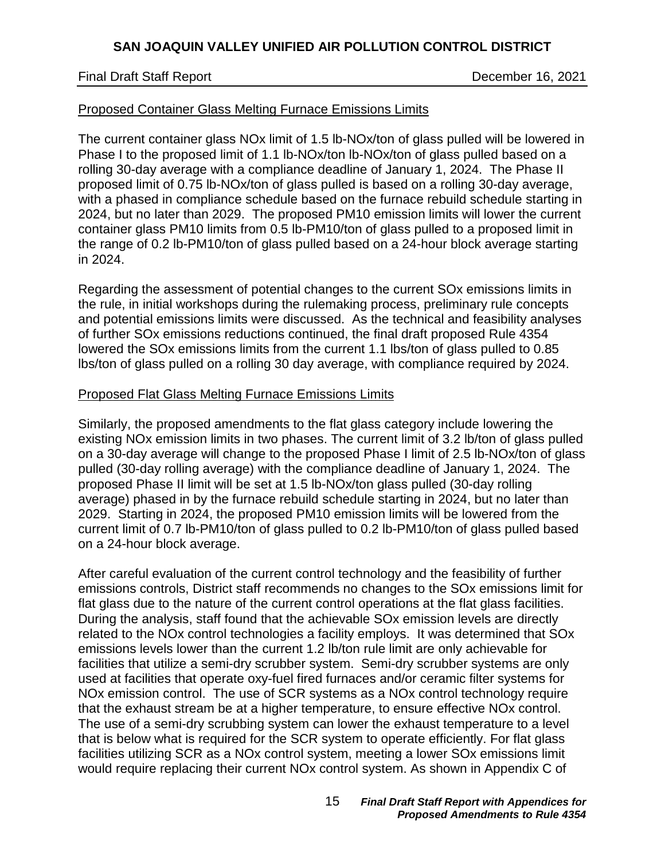#### Final Draft Staff Report **December 16, 2021**

#### Proposed Container Glass Melting Furnace Emissions Limits

The current container glass NOx limit of 1.5 lb-NOx/ton of glass pulled will be lowered in Phase I to the proposed limit of 1.1 lb-NOx/ton lb-NOx/ton of glass pulled based on a rolling 30-day average with a compliance deadline of January 1, 2024. The Phase II proposed limit of 0.75 lb-NOx/ton of glass pulled is based on a rolling 30-day average, with a phased in compliance schedule based on the furnace rebuild schedule starting in 2024, but no later than 2029. The proposed PM10 emission limits will lower the current container glass PM10 limits from 0.5 lb-PM10/ton of glass pulled to a proposed limit in the range of 0.2 lb-PM10/ton of glass pulled based on a 24-hour block average starting in 2024.

Regarding the assessment of potential changes to the current SOx emissions limits in the rule, in initial workshops during the rulemaking process, preliminary rule concepts and potential emissions limits were discussed. As the technical and feasibility analyses of further SOx emissions reductions continued, the final draft proposed Rule 4354 lowered the SOx emissions limits from the current 1.1 lbs/ton of glass pulled to 0.85 lbs/ton of glass pulled on a rolling 30 day average, with compliance required by 2024.

#### Proposed Flat Glass Melting Furnace Emissions Limits

Similarly, the proposed amendments to the flat glass category include lowering the existing NOx emission limits in two phases. The current limit of 3.2 lb/ton of glass pulled on a 30-day average will change to the proposed Phase I limit of 2.5 lb-NOx/ton of glass pulled (30-day rolling average) with the compliance deadline of January 1, 2024. The proposed Phase II limit will be set at 1.5 lb-NOx/ton glass pulled (30-day rolling average) phased in by the furnace rebuild schedule starting in 2024, but no later than 2029. Starting in 2024, the proposed PM10 emission limits will be lowered from the current limit of 0.7 lb-PM10/ton of glass pulled to 0.2 lb-PM10/ton of glass pulled based on a 24-hour block average.

After careful evaluation of the current control technology and the feasibility of further emissions controls, District staff recommends no changes to the SOx emissions limit for flat glass due to the nature of the current control operations at the flat glass facilities. During the analysis, staff found that the achievable SOx emission levels are directly related to the NOx control technologies a facility employs. It was determined that SOx emissions levels lower than the current 1.2 lb/ton rule limit are only achievable for facilities that utilize a semi-dry scrubber system. Semi-dry scrubber systems are only used at facilities that operate oxy-fuel fired furnaces and/or ceramic filter systems for NOx emission control. The use of SCR systems as a NOx control technology require that the exhaust stream be at a higher temperature, to ensure effective NOx control. The use of a semi-dry scrubbing system can lower the exhaust temperature to a level that is below what is required for the SCR system to operate efficiently. For flat glass facilities utilizing SCR as a NOx control system, meeting a lower SOx emissions limit would require replacing their current NOx control system. As shown in Appendix C of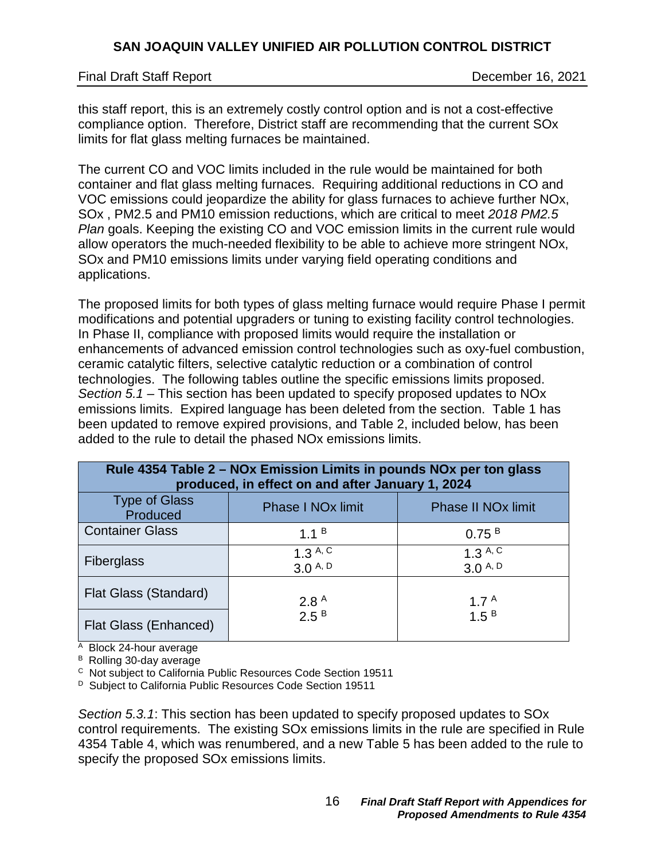#### Final Draft Staff Report **December 16, 2021**

this staff report, this is an extremely costly control option and is not a cost-effective compliance option. Therefore, District staff are recommending that the current SOx limits for flat glass melting furnaces be maintained.

The current CO and VOC limits included in the rule would be maintained for both container and flat glass melting furnaces. Requiring additional reductions in CO and VOC emissions could jeopardize the ability for glass furnaces to achieve further NOx, SOx , PM2.5 and PM10 emission reductions, which are critical to meet *2018 PM2.5 Plan goals. Keeping the existing CO and VOC emission limits in the current rule would* allow operators the much-needed flexibility to be able to achieve more stringent NOx, SOx and PM10 emissions limits under varying field operating conditions and applications.

The proposed limits for both types of glass melting furnace would require Phase I permit modifications and potential upgraders or tuning to existing facility control technologies. In Phase II, compliance with proposed limits would require the installation or enhancements of advanced emission control technologies such as oxy-fuel combustion, ceramic catalytic filters, selective catalytic reduction or a combination of control technologies. The following tables outline the specific emissions limits proposed. *Section 5.1 –* This section has been updated to specify proposed updates to NOx emissions limits. Expired language has been deleted from the section. Table 1 has been updated to remove expired provisions, and Table 2, included below, has been added to the rule to detail the phased NOx emissions limits.

| Rule 4354 Table 2 – NOx Emission Limits in pounds NOx per ton glass<br>produced, in effect on and after January 1, 2024 |                                            |                                              |  |  |  |  |
|-------------------------------------------------------------------------------------------------------------------------|--------------------------------------------|----------------------------------------------|--|--|--|--|
| <b>Type of Glass</b><br>Produced                                                                                        | <b>Phase I NOx limit</b>                   | <b>Phase II NO<sub>x</sub></b> limit         |  |  |  |  |
| <b>Container Glass</b>                                                                                                  | 1.1 <sup>B</sup>                           | 0.75 <sup>B</sup>                            |  |  |  |  |
| <b>Fiberglass</b>                                                                                                       | 1.3 <sup>A, C</sup><br>3.0 <sup>A, D</sup> | 1.3 A, $\overline{C}$<br>3.0 <sup>A, D</sup> |  |  |  |  |
| Flat Glass (Standard)                                                                                                   | 2.8 <sup>A</sup>                           | 1.7 $A$                                      |  |  |  |  |
| Flat Glass (Enhanced)                                                                                                   | 2.5 <sup>B</sup>                           | 1.5 <sup>B</sup>                             |  |  |  |  |

 $\overline{A}$  Block 24-hour average

B Rolling 30-day average

C Not subject to California Public Resources Code Section 19511

D Subject to California Public Resources Code Section 19511

*Section 5.3.1*: This section has been updated to specify proposed updates to SOx control requirements. The existing SOx emissions limits in the rule are specified in Rule 4354 Table 4, which was renumbered, and a new Table 5 has been added to the rule to specify the proposed SOx emissions limits.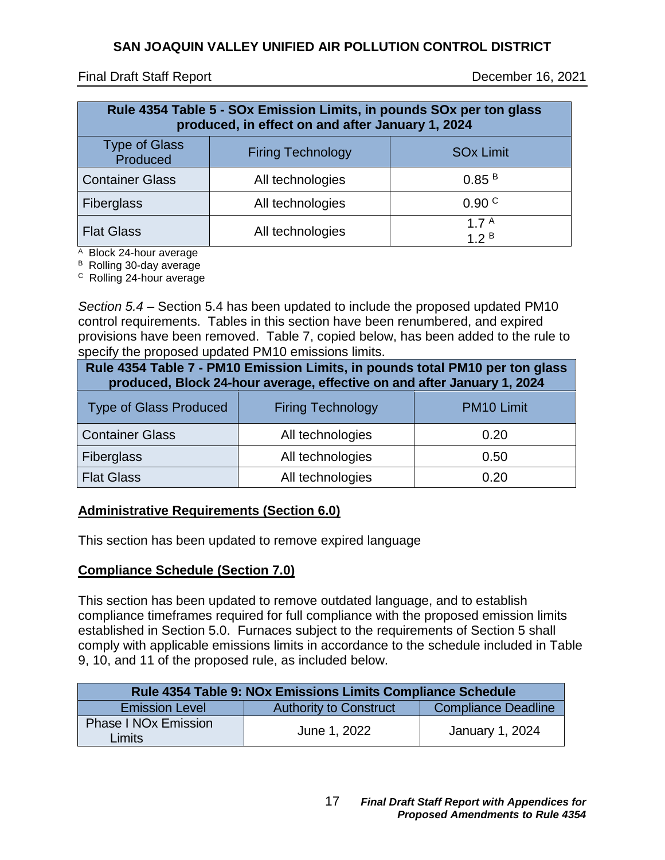## Final Draft Staff Report **December 16, 2021**

| Rule 4354 Table 5 - SOx Emission Limits, in pounds SOx per ton glass<br>produced, in effect on and after January 1, 2024 |                  |                             |  |  |  |  |
|--------------------------------------------------------------------------------------------------------------------------|------------------|-----------------------------|--|--|--|--|
| <b>Type of Glass</b><br>Produced                                                                                         | <b>SOx Limit</b> |                             |  |  |  |  |
| <b>Container Glass</b><br>All technologies                                                                               |                  | 0.85B                       |  |  |  |  |
| <b>Fiberglass</b>                                                                                                        | All technologies | 0.90 <sup>C</sup>           |  |  |  |  |
| <b>Flat Glass</b>                                                                                                        | All technologies | 1.7 $A$<br>1.2 <sup>B</sup> |  |  |  |  |

A Block 24-hour average

B Rolling 30-day average

C Rolling 24-hour average

*Section 5.4* – Section 5.4 has been updated to include the proposed updated PM10 control requirements. Tables in this section have been renumbered, and expired provisions have been removed. Table 7, copied below, has been added to the rule to specify the proposed updated PM10 emissions limits.

**Rule 4354 Table 7 - PM10 Emission Limits, in pounds total PM10 per ton glass produced, Block 24-hour average, effective on and after January 1, 2024**

| <b>Type of Glass Produced</b> | <b>Firing Technology</b> | <b>PM10 Limit</b> |  |  |  |
|-------------------------------|--------------------------|-------------------|--|--|--|
| <b>Container Glass</b>        | All technologies         | 0.20              |  |  |  |
| Fiberglass                    | All technologies         | 0.50              |  |  |  |
| <b>Flat Glass</b>             | All technologies         | 0.20              |  |  |  |

## **Administrative Requirements (Section 6.0)**

This section has been updated to remove expired language

#### **Compliance Schedule (Section 7.0)**

This section has been updated to remove outdated language, and to establish compliance timeframes required for full compliance with the proposed emission limits established in Section 5.0. Furnaces subject to the requirements of Section 5 shall comply with applicable emissions limits in accordance to the schedule included in Table 9, 10, and 11 of the proposed rule, as included below.

| <b>Rule 4354 Table 9: NOx Emissions Limits Compliance Schedule</b>                   |              |                 |  |  |  |  |  |
|--------------------------------------------------------------------------------------|--------------|-----------------|--|--|--|--|--|
| <b>Compliance Deadline</b><br><b>Authority to Construct</b><br><b>Emission Level</b> |              |                 |  |  |  |  |  |
| <b>Phase I NO<sub>x</sub></b> Emission<br>Limits                                     | June 1, 2022 | January 1, 2024 |  |  |  |  |  |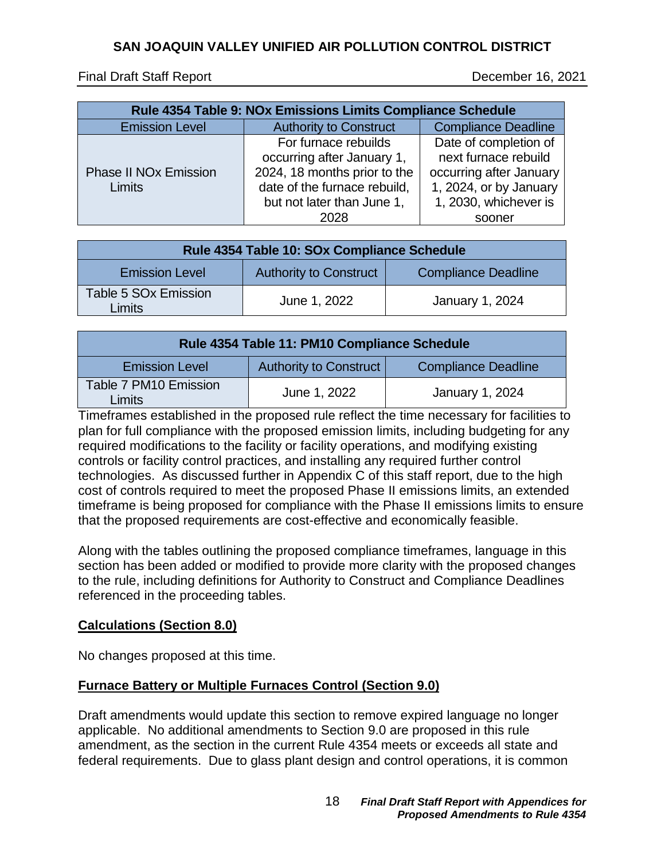Final Draft Staff Report **December 16, 2021** 

| Rule 4354 Table 9: NOx Emissions Limits Compliance Schedule |                              |                         |  |  |  |  |  |
|-------------------------------------------------------------|------------------------------|-------------------------|--|--|--|--|--|
| <b>Emission Level</b>                                       | <b>Compliance Deadline</b>   |                         |  |  |  |  |  |
|                                                             | For furnace rebuilds         | Date of completion of   |  |  |  |  |  |
|                                                             | occurring after January 1.   | next furnace rebuild    |  |  |  |  |  |
| <b>Phase II NOx Emission</b>                                | 2024, 18 months prior to the | occurring after January |  |  |  |  |  |
| Limits                                                      | date of the furnace rebuild, | 1, 2024, or by January  |  |  |  |  |  |
|                                                             | but not later than June 1,   | 1, 2030, whichever is   |  |  |  |  |  |
|                                                             | 2028                         | sooner                  |  |  |  |  |  |

| Rule 4354 Table 10: SOx Compliance Schedule                                          |              |                 |  |  |  |
|--------------------------------------------------------------------------------------|--------------|-----------------|--|--|--|
| <b>Emission Level</b><br><b>Compliance Deadline</b><br><b>Authority to Construct</b> |              |                 |  |  |  |
| <b>Table 5 SOx Emission</b><br>Limits                                                | June 1, 2022 | January 1, 2024 |  |  |  |

| Rule 4354 Table 11: PM10 Compliance Schedule |                               |                            |  |  |  |
|----------------------------------------------|-------------------------------|----------------------------|--|--|--|
| <b>Emission Level</b>                        | <b>Authority to Construct</b> | <b>Compliance Deadline</b> |  |  |  |
| Table 7 PM10 Emission<br>Limits              | June 1, 2022                  | January 1, 2024            |  |  |  |

Timeframes established in the proposed rule reflect the time necessary for facilities to plan for full compliance with the proposed emission limits, including budgeting for any required modifications to the facility or facility operations, and modifying existing controls or facility control practices, and installing any required further control technologies. As discussed further in Appendix C of this staff report, due to the high cost of controls required to meet the proposed Phase II emissions limits, an extended timeframe is being proposed for compliance with the Phase II emissions limits to ensure that the proposed requirements are cost-effective and economically feasible.

Along with the tables outlining the proposed compliance timeframes, language in this section has been added or modified to provide more clarity with the proposed changes to the rule, including definitions for Authority to Construct and Compliance Deadlines referenced in the proceeding tables.

## **Calculations (Section 8.0)**

No changes proposed at this time.

## **Furnace Battery or Multiple Furnaces Control (Section 9.0)**

Draft amendments would update this section to remove expired language no longer applicable. No additional amendments to Section 9.0 are proposed in this rule amendment, as the section in the current Rule 4354 meets or exceeds all state and federal requirements. Due to glass plant design and control operations, it is common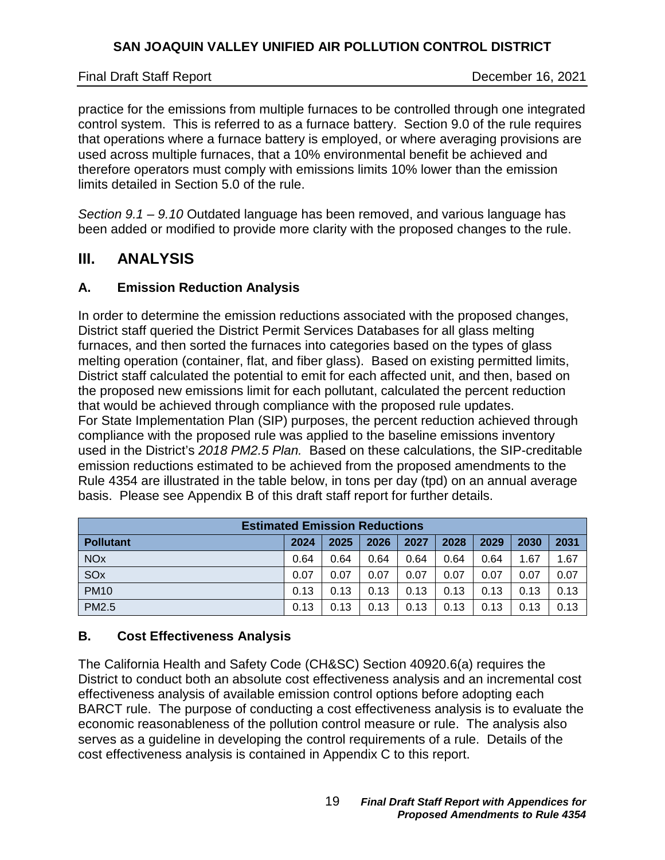## Final Draft Staff Report **December 16, 2021**

practice for the emissions from multiple furnaces to be controlled through one integrated control system. This is referred to as a furnace battery. Section 9.0 of the rule requires that operations where a furnace battery is employed, or where averaging provisions are used across multiple furnaces, that a 10% environmental benefit be achieved and therefore operators must comply with emissions limits 10% lower than the emission limits detailed in Section 5.0 of the rule.

*Section 9.1 – 9.10* Outdated language has been removed, and various language has been added or modified to provide more clarity with the proposed changes to the rule.

# <span id="page-18-0"></span>**III. ANALYSIS**

## <span id="page-18-1"></span>**A. Emission Reduction Analysis**

In order to determine the emission reductions associated with the proposed changes, District staff queried the District Permit Services Databases for all glass melting furnaces, and then sorted the furnaces into categories based on the types of glass melting operation (container, flat, and fiber glass). Based on existing permitted limits, District staff calculated the potential to emit for each affected unit, and then, based on the proposed new emissions limit for each pollutant, calculated the percent reduction that would be achieved through compliance with the proposed rule updates. For State Implementation Plan (SIP) purposes, the percent reduction achieved through compliance with the proposed rule was applied to the baseline emissions inventory used in the District's *2018 PM2.5 Plan.* Based on these calculations, the SIP-creditable emission reductions estimated to be achieved from the proposed amendments to the Rule 4354 are illustrated in the table below, in tons per day (tpd) on an annual average basis. Please see Appendix B of this draft staff report for further details.

| <b>Estimated Emission Reductions</b>                                             |      |      |      |      |      |      |      |      |
|----------------------------------------------------------------------------------|------|------|------|------|------|------|------|------|
| 2031<br>2027<br>2030<br><b>Pollutant</b><br>2024<br>2026<br>2025<br>2028<br>2029 |      |      |      |      |      |      |      |      |
| <b>NO<sub>x</sub></b>                                                            | 0.64 | 0.64 | 0.64 | 0.64 | 0.64 | 0.64 | 1.67 | 1.67 |
| SOx                                                                              | 0.07 | 0.07 | 0.07 | 0.07 | 0.07 | 0.07 | 0.07 | 0.07 |
| <b>PM10</b>                                                                      | 0.13 | 0.13 | 0.13 | 0.13 | 0.13 | 0.13 | 0.13 | 0.13 |
| PM2.5                                                                            | 0.13 | 0.13 | 0.13 | 0.13 | 0.13 | 0.13 | 0.13 | 0.13 |

## <span id="page-18-2"></span>**B. Cost Effectiveness Analysis**

The California Health and Safety Code (CH&SC) Section 40920.6(a) requires the District to conduct both an absolute cost effectiveness analysis and an incremental cost effectiveness analysis of available emission control options before adopting each BARCT rule. The purpose of conducting a cost effectiveness analysis is to evaluate the economic reasonableness of the pollution control measure or rule. The analysis also serves as a guideline in developing the control requirements of a rule. Details of the cost effectiveness analysis is contained in Appendix C to this report.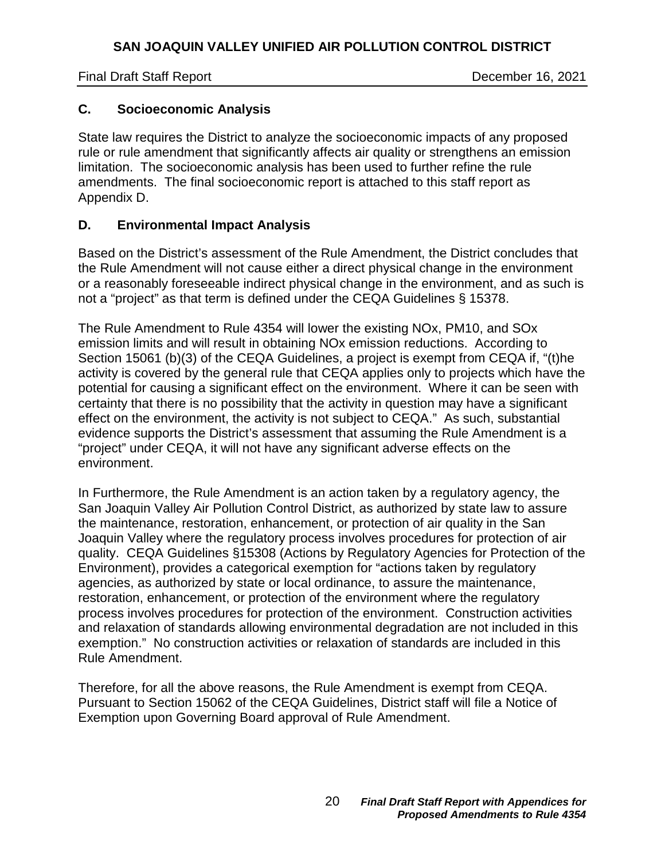Final Draft Staff Report **December 16, 2021** 

# <span id="page-19-0"></span>**C. Socioeconomic Analysis**

State law requires the District to analyze the socioeconomic impacts of any proposed rule or rule amendment that significantly affects air quality or strengthens an emission limitation. The socioeconomic analysis has been used to further refine the rule amendments. The final socioeconomic report is attached to this staff report as Appendix D.

# <span id="page-19-1"></span>**D. Environmental Impact Analysis**

Based on the District's assessment of the Rule Amendment, the District concludes that the Rule Amendment will not cause either a direct physical change in the environment or a reasonably foreseeable indirect physical change in the environment, and as such is not a "project" as that term is defined under the CEQA Guidelines § 15378.

The Rule Amendment to Rule 4354 will lower the existing NOx, PM10, and SOx emission limits and will result in obtaining NOx emission reductions. According to Section 15061 (b)(3) of the CEQA Guidelines, a project is exempt from CEQA if, "(t)he activity is covered by the general rule that CEQA applies only to projects which have the potential for causing a significant effect on the environment. Where it can be seen with certainty that there is no possibility that the activity in question may have a significant effect on the environment, the activity is not subject to CEQA." As such, substantial evidence supports the District's assessment that assuming the Rule Amendment is a "project" under CEQA, it will not have any significant adverse effects on the environment.

In Furthermore, the Rule Amendment is an action taken by a regulatory agency, the San Joaquin Valley Air Pollution Control District, as authorized by state law to assure the maintenance, restoration, enhancement, or protection of air quality in the San Joaquin Valley where the regulatory process involves procedures for protection of air quality. CEQA Guidelines §15308 (Actions by Regulatory Agencies for Protection of the Environment), provides a categorical exemption for "actions taken by regulatory agencies, as authorized by state or local ordinance, to assure the maintenance, restoration, enhancement, or protection of the environment where the regulatory process involves procedures for protection of the environment. Construction activities and relaxation of standards allowing environmental degradation are not included in this exemption." No construction activities or relaxation of standards are included in this Rule Amendment.

Therefore, for all the above reasons, the Rule Amendment is exempt from CEQA. Pursuant to Section 15062 of the CEQA Guidelines, District staff will file a Notice of Exemption upon Governing Board approval of Rule Amendment.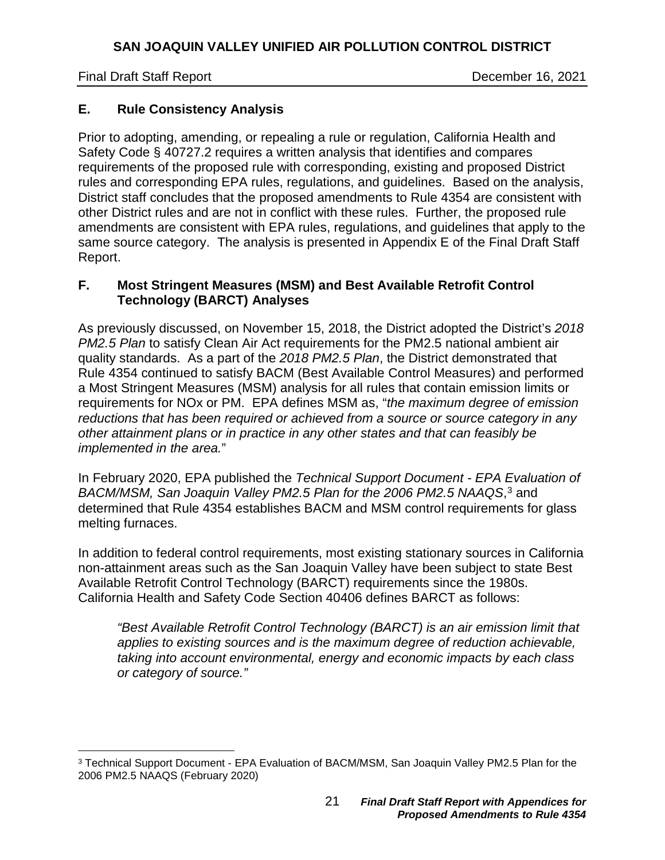Final Draft Staff Report **December 16, 2021** 

## <span id="page-20-0"></span>**E. Rule Consistency Analysis**

Prior to adopting, amending, or repealing a rule or regulation, California Health and Safety Code § 40727.2 requires a written analysis that identifies and compares requirements of the proposed rule with corresponding, existing and proposed District rules and corresponding EPA rules, regulations, and guidelines. Based on the analysis, District staff concludes that the proposed amendments to Rule 4354 are consistent with other District rules and are not in conflict with these rules. Further, the proposed rule amendments are consistent with EPA rules, regulations, and guidelines that apply to the same source category. The analysis is presented in Appendix E of the Final Draft Staff Report.

## <span id="page-20-1"></span>**F. Most Stringent Measures (MSM) and Best Available Retrofit Control Technology (BARCT) Analyses**

As previously discussed, on November 15, 2018, the District adopted the District's *2018 PM2.5 Plan* to satisfy Clean Air Act requirements for the PM2.5 national ambient air quality standards. As a part of the *2018 PM2.5 Plan*, the District demonstrated that Rule 4354 continued to satisfy BACM (Best Available Control Measures) and performed a Most Stringent Measures (MSM) analysis for all rules that contain emission limits or requirements for NOx or PM. EPA defines MSM as, "*the maximum degree of emission reductions that has been required or achieved from a source or source category in any other attainment plans or in practice in any other states and that can feasibly be implemented in the area.*"

In February 2020, EPA published the *Technical Support Document - EPA Evaluation of BACM/MSM, San Joaquin Valley PM2.5 Plan for the 2006 PM2.5 NAAQS*, [3](#page-20-2) and determined that Rule 4354 establishes BACM and MSM control requirements for glass melting furnaces.

In addition to federal control requirements, most existing stationary sources in California non-attainment areas such as the San Joaquin Valley have been subject to state Best Available Retrofit Control Technology (BARCT) requirements since the 1980s. California Health and Safety Code Section 40406 defines BARCT as follows:

*"Best Available Retrofit Control Technology (BARCT) is an air emission limit that applies to existing sources and is the maximum degree of reduction achievable, taking into account environmental, energy and economic impacts by each class or category of source."* 

<span id="page-20-2"></span> <sup>3</sup> Technical Support Document - EPA Evaluation of BACM/MSM, San Joaquin Valley PM2.5 Plan for the 2006 PM2.5 NAAQS (February 2020)